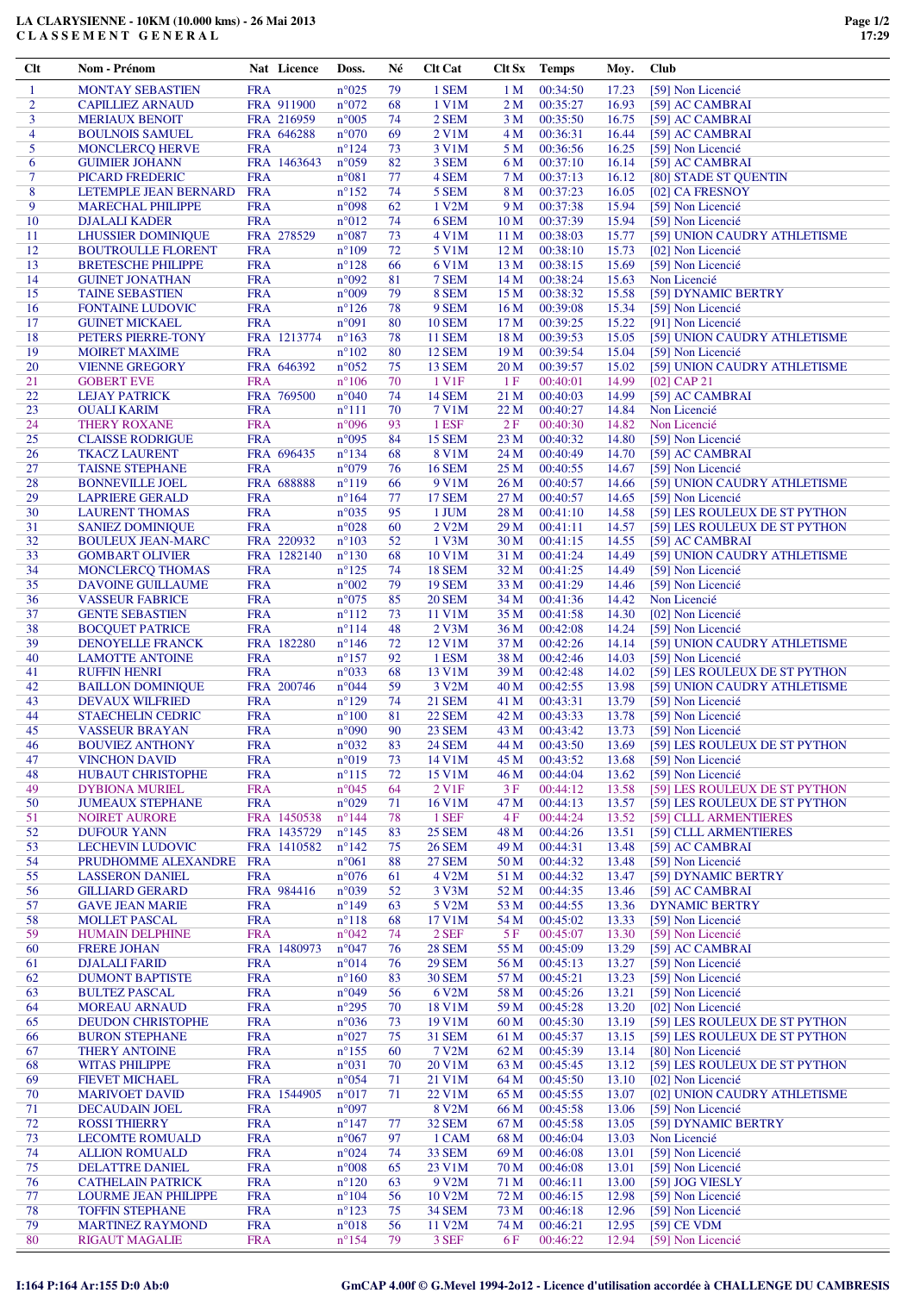## **LA CLARYSIENNE - 10KM (10.000 kms) - 26 Mai 2013 C L A S S E M E N T G E N E R A L**

| Clt            | Nom - Prénom                                     |                          | Nat Licence | Doss.                            | Né       | <b>Clt Cat</b>         | Clt Sx          | <b>Temps</b>         | Moy.           | <b>Club</b>                                                   |
|----------------|--------------------------------------------------|--------------------------|-------------|----------------------------------|----------|------------------------|-----------------|----------------------|----------------|---------------------------------------------------------------|
| $\mathbf{1}$   | MONTAY SEBASTIEN                                 | <b>FRA</b>               |             | $n^{\circ}025$                   | 79       | 1 SEM                  | 1 <sub>M</sub>  | 00:34:50             | 17.23          | [59] Non Licencié                                             |
| $\overline{c}$ | <b>CAPILLIEZ ARNAUD</b>                          |                          | FRA 911900  | $n^{\circ}072$                   | 68       | 1 V1M                  | 2 <sub>M</sub>  | 00:35:27             | 16.93          | [59] AC CAMBRAI                                               |
| 3              | <b>MERIAUX BENOIT</b>                            |                          | FRA 216959  | $n^{\circ}005$                   | 74       | 2 SEM                  | 3 M             | 00:35:50             | 16.75          | [59] AC CAMBRAI                                               |
| 4              | <b>BOULNOIS SAMUEL</b>                           |                          | FRA 646288  | $n^{\circ}070$                   | 69       | 2 V1M                  | 4 M             | 00:36:31             | 16.44          | [59] AC CAMBRAI                                               |
| 5              | MONCLERCQ HERVE                                  | <b>FRA</b>               |             | $n^{\circ}124$                   | 73       | 3 V1M                  | 5 M             | 00:36:56             | 16.25          | [59] Non Licencié                                             |
| 6              | <b>GUIMIER JOHANN</b>                            |                          | FRA 1463643 | $n^{\circ}059$                   | 82       | 3 SEM                  | 6 M             | 00:37:10             | 16.14          | [59] AC CAMBRAI                                               |
| 7              | PICARD FREDERIC                                  | <b>FRA</b>               |             | n°081                            | 77       | 4 SEM                  | 7 M             | 00:37:13             | 16.12          | [80] STADE ST OUENTIN                                         |
| 8              | LETEMPLE JEAN BERNARD                            | <b>FRA</b>               |             | $n^{\circ}152$                   | 74       | 5 SEM                  | 8 M             | 00:37:23             | 16.05          | [02] CA FRESNOY                                               |
| 9              | <b>MARECHAL PHILIPPE</b>                         | <b>FRA</b>               |             | n°098                            | 62       | 1 V2M                  | 9 M             | 00:37:38             | 15.94          | [59] Non Licencié                                             |
| 10             | <b>DJALALI KADER</b>                             | <b>FRA</b>               |             | $n^{\circ}012$                   | 74       | 6 SEM                  | 10 <sub>M</sub> | 00:37:39             | 15.94          | [59] Non Licencié                                             |
| 11             | <b>LHUSSIER DOMINIQUE</b>                        |                          | FRA 278529  | $n^{\circ}087$                   | 73       | 4 V1M                  | 11 M            | 00:38:03             | 15.77          | [59] UNION CAUDRY ATHLETISME                                  |
| 12             | <b>BOUTROULLE FLORENT</b>                        | <b>FRA</b>               |             | $n^{\circ}109$                   | 72       | 5 V1M                  | 12 <sub>M</sub> | 00:38:10             | 15.73          | [02] Non Licencié                                             |
| 13             | <b>BRETESCHE PHILIPPE</b>                        | <b>FRA</b>               |             | $n^{\circ}128$                   | 66       | 6 V1M                  | 13 M            | 00:38:15             | 15.69          | [59] Non Licencié                                             |
| 14             | <b>GUINET JONATHAN</b>                           | <b>FRA</b>               |             | n°092                            | 81       | 7 SEM                  | 14 M            | 00:38:24             | 15.63          | Non Licencié                                                  |
| 15             | <b>TAINE SEBASTIEN</b>                           | <b>FRA</b>               |             | $n^{\circ}009$                   | 79       | 8 SEM                  | 15 M            | 00:38:32             | 15.58          | [59] DYNAMIC BERTRY                                           |
| 16             | <b>FONTAINE LUDOVIC</b>                          | <b>FRA</b>               |             | $n^{\circ}126$                   | 78       | 9 SEM                  | 16 M            | 00:39:08             | 15.34          | [59] Non Licencié                                             |
| 17             | <b>GUINET MICKAEL</b>                            | <b>FRA</b>               |             | n°091                            | 80       | <b>10 SEM</b>          | 17 M            | 00:39:25             | 15.22          | [91] Non Licencié                                             |
| 18             | PETERS PIERRE-TONY                               |                          | FRA 1213774 | $n^{\circ}163$                   | 78       | <b>11 SEM</b>          | 18 M            | 00:39:53             | 15.05          | [59] UNION CAUDRY ATHLETISME                                  |
| 19             | <b>MOIRET MAXIME</b>                             | <b>FRA</b>               |             | $n^{\circ}102$                   | 80       | <b>12 SEM</b>          | 19 <sub>M</sub> | 00:39:54             | 15.04          | [59] Non Licencié                                             |
| 20             | <b>VIENNE GREGORY</b>                            |                          | FRA 646392  | $n^{\circ}052$                   | 75       | <b>13 SEM</b>          | 20 <sub>M</sub> | 00:39:57             | 15.02          | [59] UNION CAUDRY ATHLETISME                                  |
| 21             | <b>GOBERT EVE</b>                                | <b>FRA</b>               |             | $n^{\circ}106$                   | 70       | 1 V1F                  | 1F              | 00:40:01             | 14.99          | [02] CAP 21                                                   |
| 22             | <b>LEJAY PATRICK</b><br><b>OUALI KARIM</b>       |                          | FRA 769500  | $n^{\circ}040$                   | 74<br>70 | <b>14 SEM</b>          | 21 M            | 00:40:03             | 14.99          | [59] AC CAMBRAI                                               |
| 23<br>24       |                                                  | <b>FRA</b><br><b>FRA</b> |             | $n^{\circ}111$<br>n°096          | 93       | 7 V1M<br>1 ESF         | 22 M<br>2F      | 00:40:27<br>00:40:30 | 14.84<br>14.82 | Non Licencié                                                  |
| 25             | <b>THERY ROXANE</b>                              | <b>FRA</b>               |             | $n^{\circ}095$                   | 84       | <b>15 SEM</b>          | 23 M            | 00:40:32             | 14.80          | Non Licencié<br>[59] Non Licencié                             |
| 26             | <b>CLAISSE RODRIGUE</b><br><b>TKACZ LAURENT</b>  |                          | FRA 696435  | $n^{\circ}134$                   | 68       | 8 V1M                  | 24 M            | 00:40:49             | 14.70          | [59] AC CAMBRAI                                               |
| 27             | <b>TAISNE STEPHANE</b>                           | <b>FRA</b>               |             | n°079                            | 76       | <b>16 SEM</b>          | 25 M            | 00:40:55             | 14.67          | [59] Non Licencié                                             |
| 28             | <b>BONNEVILLE JOEL</b>                           |                          | FRA 688888  | $n^{\circ}119$                   | 66       | 9 V1M                  | 26 M            | 00:40:57             | 14.66          | [59] UNION CAUDRY ATHLETISME                                  |
| 29             | <b>LAPRIERE GERALD</b>                           | <b>FRA</b>               |             | $n^{\circ}164$                   | 77       | <b>17 SEM</b>          | 27 M            | 00:40:57             | 14.65          | [59] Non Licencié                                             |
| 30             | <b>LAURENT THOMAS</b>                            | <b>FRA</b>               |             | $n^{\circ}035$                   | 95       | 1 JUM                  | 28 M            | 00:41:10             | 14.58          | [59] LES ROULEUX DE ST PYTHON                                 |
| 31             | <b>SANIEZ DOMINIQUE</b>                          | <b>FRA</b>               |             | $n^{\circ}028$                   | 60       | 2 V2M                  | 29 M            | 00:41:11             | 14.57          | [59] LES ROULEUX DE ST PYTHON                                 |
| 32             | <b>BOULEUX JEAN-MARC</b>                         |                          | FRA 220932  | $n^{\circ}103$                   | 52       | 1 V3M                  | 30 M            | 00:41:15             | 14.55          | [59] AC CAMBRAI                                               |
| 33             | <b>GOMBART OLIVIER</b>                           |                          | FRA 1282140 | $n^{\circ}130$                   | 68       | 10 V1M                 | 31 M            | 00:41:24             | 14.49          | [59] UNION CAUDRY ATHLETISME                                  |
| 34             | <b>MONCLERCQ THOMAS</b>                          | <b>FRA</b>               |             | $n^{\circ}125$                   | 74       | <b>18 SEM</b>          | 32 M            | 00:41:25             | 14.49          | [59] Non Licencié                                             |
| 35             | DAVOINE GUILLAUME                                | <b>FRA</b>               |             | $n^{\circ}002$                   | 79       | <b>19 SEM</b>          | 33 M            | 00:41:29             | 14.46          | [59] Non Licencié                                             |
| 36             | <b>VASSEUR FABRICE</b>                           | <b>FRA</b>               |             | $n^{\circ}075$                   | 85       | <b>20 SEM</b>          | 34 M            | 00:41:36             | 14.42          | Non Licencié                                                  |
| 37             | <b>GENTE SEBASTIEN</b>                           | <b>FRA</b>               |             | $n^{\circ}112$                   | 73       | 11 V1M                 | 35 M            | 00:41:58             | 14.30          | [02] Non Licencié                                             |
| 38             | <b>BOCQUET PATRICE</b>                           | <b>FRA</b>               |             | $n^{\circ}114$                   | 48       | 2 V3M                  | 36 M            | 00:42:08             | 14.24          | [59] Non Licencié                                             |
| 39             | DENOYELLE FRANCK                                 |                          | FRA 182280  | $n^{\circ}146$                   | 72       | 12 V1M                 | 37 M            | 00:42:26             | 14.14          | [59] UNION CAUDRY ATHLETISME                                  |
| 40             | <b>LAMOTTE ANTOINE</b><br><b>RUFFIN HENRI</b>    | <b>FRA</b><br><b>FRA</b> |             | $n^{\circ}157$<br>n°033          | 92<br>68 | 1 ESM<br>13 V1M        | 38 M            | 00:42:46             | 14.03          | [59] Non Licencié                                             |
| 41<br>42       | <b>BAILLON DOMINIQUE</b>                         |                          | FRA 200746  | n°044                            | 59       | 3 V2M                  | 39 M<br>40 M    | 00:42:48<br>00:42:55 | 14.02<br>13.98 | [59] LES ROULEUX DE ST PYTHON<br>[59] UNION CAUDRY ATHLETISME |
| 43             | <b>DEVAUX WILFRIED</b>                           | <b>FRA</b>               |             | $n^{\circ}129$                   | 74       | <b>21 SEM</b>          | 41 M            | 00:43:31             | 13.79          | [59] Non Licencié                                             |
| 44             | <b>STAECHELIN CEDRIC</b>                         | <b>FRA</b>               |             | $n^{\circ}100$                   | 81       | <b>22 SEM</b>          | 42 M            | 00:43:33             | 13.78          | [59] Non Licencié                                             |
| 45             | <b>VASSEUR BRAYAN</b>                            | <b>FRA</b>               |             | n°090                            | 90       | 23 SEM                 | 43 M            | 00:43:42             | 13.73          | [59] Non Licencié                                             |
| 46             | <b>BOUVIEZ ANTHONY</b>                           | <b>FRA</b>               |             | $n^{\circ}032$                   | 83       | <b>24 SEM</b>          | 44 M            | 00:43:50             | 13.69          | [59] LES ROULEUX DE ST PYTHON                                 |
| 47             | <b>VINCHON DAVID</b>                             | <b>FRA</b>               |             | $n^{\circ}019$                   | 73       | 14 V1M                 | 45 M            | 00:43:52             | 13.68          | [59] Non Licencié                                             |
| 48             | <b>HUBAUT CHRISTOPHE</b>                         | <b>FRA</b>               |             | $n^{\circ}115$                   | 72       | 15 V1M                 | 46 M            | 00:44:04             | 13.62          | [59] Non Licencié                                             |
| 49             | <b>DYBIONA MURIEL</b>                            | <b>FRA</b>               |             | $n^{\circ}045$                   | 64       | 2 V1F                  | 3F              | 00:44:12             | 13.58          | [59] LES ROULEUX DE ST PYTHON                                 |
| 50             | <b>JUMEAUX STEPHANE</b>                          | <b>FRA</b>               |             | $n^{\circ}029$                   | 71       | 16 V1M                 | 47 M            | 00:44:13             | 13.57          | [59] LES ROULEUX DE ST PYTHON                                 |
| 51             | <b>NOIRET AURORE</b>                             |                          | FRA 1450538 | $n^{\circ}$ 144                  | 78       | 1 SEF                  | 4 F             | 00:44:24             | 13.52          | [59] CLLL ARMENTIERES                                         |
| 52             | <b>DUFOUR YANN</b>                               |                          | FRA 1435729 | $n^{\circ}145$                   | 83       | <b>25 SEM</b>          | 48 M            | 00:44:26             | 13.51          | [59] CLLL ARMENTIERES                                         |
| 53             | <b>LECHEVIN LUDOVIC</b>                          |                          | FRA 1410582 | $n^{\circ}142$                   | 75       | <b>26 SEM</b>          | 49 M            | 00:44:31             | 13.48          | [59] AC CAMBRAI                                               |
| 54<br>55       | PRUDHOMME ALEXANDRE                              | <b>FRA</b><br><b>FRA</b> |             | $n^{\circ}061$<br>$n^{\circ}076$ | 88       | <b>27 SEM</b><br>4 V2M | 50 M            | 00:44:32<br>00:44:32 | 13.48          | [59] Non Licencié                                             |
| 56             | <b>LASSERON DANIEL</b><br><b>GILLIARD GERARD</b> |                          | FRA 984416  | n°039                            | 61<br>52 | 3 V3M                  | 51 M<br>52 M    | 00:44:35             | 13.47<br>13.46 | [59] DYNAMIC BERTRY<br>[59] AC CAMBRAI                        |
| 57             | <b>GAVE JEAN MARIE</b>                           | <b>FRA</b>               |             | $n^{\circ}149$                   | 63       | 5 V2M                  | 53 M            | 00:44:55             | 13.36          | <b>DYNAMIC BERTRY</b>                                         |
| 58             | <b>MOLLET PASCAL</b>                             | <b>FRA</b>               |             | $n^{\circ}118$                   | 68       | 17 V1M                 | 54 M            | 00:45:02             | 13.33          | [59] Non Licencié                                             |
| 59             | <b>HUMAIN DELPHINE</b>                           | <b>FRA</b>               |             | $n^{\circ}042$                   | 74       | 2 SEF                  | 5F              | 00:45:07             | 13.30          | [59] Non Licencié                                             |
| 60             | <b>FRERE JOHAN</b>                               |                          | FRA 1480973 | $n^{\circ}047$                   | 76       | <b>28 SEM</b>          | 55 M            | 00:45:09             | 13.29          | [59] AC CAMBRAI                                               |
| 61             | <b>DJALALI FARID</b>                             | <b>FRA</b>               |             | $n^{\circ}014$                   | 76       | <b>29 SEM</b>          | 56 M            | 00:45:13             | 13.27          | [59] Non Licencié                                             |
| 62             | <b>DUMONT BAPTISTE</b>                           | <b>FRA</b>               |             | $n^{\circ}160$                   | 83       | <b>30 SEM</b>          | 57 M            | 00:45:21             | 13.23          | [59] Non Licencié                                             |
| 63             | <b>BULTEZ PASCAL</b>                             | <b>FRA</b>               |             | n°049                            | 56       | 6 V2M                  | 58 M            | 00:45:26             | 13.21          | [59] Non Licencié                                             |
| 64             | <b>MOREAU ARNAUD</b>                             | <b>FRA</b>               |             | $n^{\circ}295$                   | 70       | 18 V1M                 | 59 M            | 00:45:28             | 13.20          | [02] Non Licencié                                             |
| 65             | <b>DEUDON CHRISTOPHE</b>                         | <b>FRA</b>               |             | $n^{\circ}036$                   | 73       | 19 V1M                 | 60 M            | 00:45:30             | 13.19          | [59] LES ROULEUX DE ST PYTHON                                 |
| 66             | <b>BURON STEPHANE</b>                            | <b>FRA</b>               |             | $n^{\circ}027$                   | 75       | <b>31 SEM</b>          | 61 M            | 00:45:37             | 13.15          | [59] LES ROULEUX DE ST PYTHON                                 |
| 67             | <b>THERY ANTOINE</b>                             | <b>FRA</b>               |             | $n^{\circ}155$                   | 60       | 7 V2M                  | 62 M            | 00:45:39             | 13.14          | [80] Non Licencié                                             |
| 68<br>69       | <b>WITAS PHILIPPE</b>                            | <b>FRA</b>               |             | n°031<br>$n^{\circ}054$          | 70<br>71 | 20 V1M                 | 63 M            | 00:45:45             | 13.12          | [59] LES ROULEUX DE ST PYTHON                                 |
| 70             | <b>FIEVET MICHAEL</b><br><b>MARIVOET DAVID</b>   | <b>FRA</b>               | FRA 1544905 | $n^{\circ}017$                   | 71       | 21 V1M<br>22 V1M       | 64 M<br>65 M    | 00:45:50<br>00:45:55 | 13.10<br>13.07 | [02] Non Licencié<br>[02] UNION CAUDRY ATHLETISME             |
| 71             | DECAUDAIN JOEL                                   | <b>FRA</b>               |             | $n^{\circ}097$                   |          | 8 V2M                  | 66 M            | 00:45:58             | 13.06          | [59] Non Licencié                                             |
| 72             | <b>ROSSI THIERRY</b>                             | <b>FRA</b>               |             | $n^{\circ}$ 147                  | 77       | <b>32 SEM</b>          | 67 M            | 00:45:58             | 13.05          | [59] DYNAMIC BERTRY                                           |
| 73             | <b>LECOMTE ROMUALD</b>                           | <b>FRA</b>               |             | $n^{\circ}067$                   | 97       | 1 CAM                  | 68 M            | 00:46:04             | 13.03          | Non Licencié                                                  |
| 74             | <b>ALLION ROMUALD</b>                            | <b>FRA</b>               |             | $n^{\circ}024$                   | 74       | 33 SEM                 | 69 M            | 00:46:08             | 13.01          | [59] Non Licencié                                             |
| 75             | <b>DELATTRE DANIEL</b>                           | <b>FRA</b>               |             | $n^{\circ}008$                   | 65       | 23 V1M                 | 70 M            | 00:46:08             | 13.01          | [59] Non Licencié                                             |
| 76             | <b>CATHELAIN PATRICK</b>                         | <b>FRA</b>               |             | $n^{\circ}120$                   | 63       | 9 V2M                  | 71 M            | 00:46:11             | 13.00          | [59] JOG VIESLY                                               |
| 77             | <b>LOURME JEAN PHILIPPE</b>                      | <b>FRA</b>               |             | $n^{\circ}104$                   | 56       | 10 V2M                 | 72 M            | 00:46:15             | 12.98          | [59] Non Licencié                                             |
| 78             | <b>TOFFIN STEPHANE</b>                           | <b>FRA</b>               |             | $n^{\circ}123$                   | 75       | <b>34 SEM</b>          | 73 M            | 00:46:18             | 12.96          | [59] Non Licencié                                             |
| 79             | <b>MARTINEZ RAYMOND</b>                          | <b>FRA</b>               |             | $n^{\circ}018$                   | 56       | 11 V2M                 | 74 M            | 00:46:21             | 12.95          | [59] CE VDM                                                   |
| 80             | <b>RIGAUT MAGALIE</b>                            | <b>FRA</b>               |             | $n^{\circ}154$                   | 79       | 3 SEF                  | 6F              | 00:46:22             | 12.94          | [59] Non Licencié                                             |